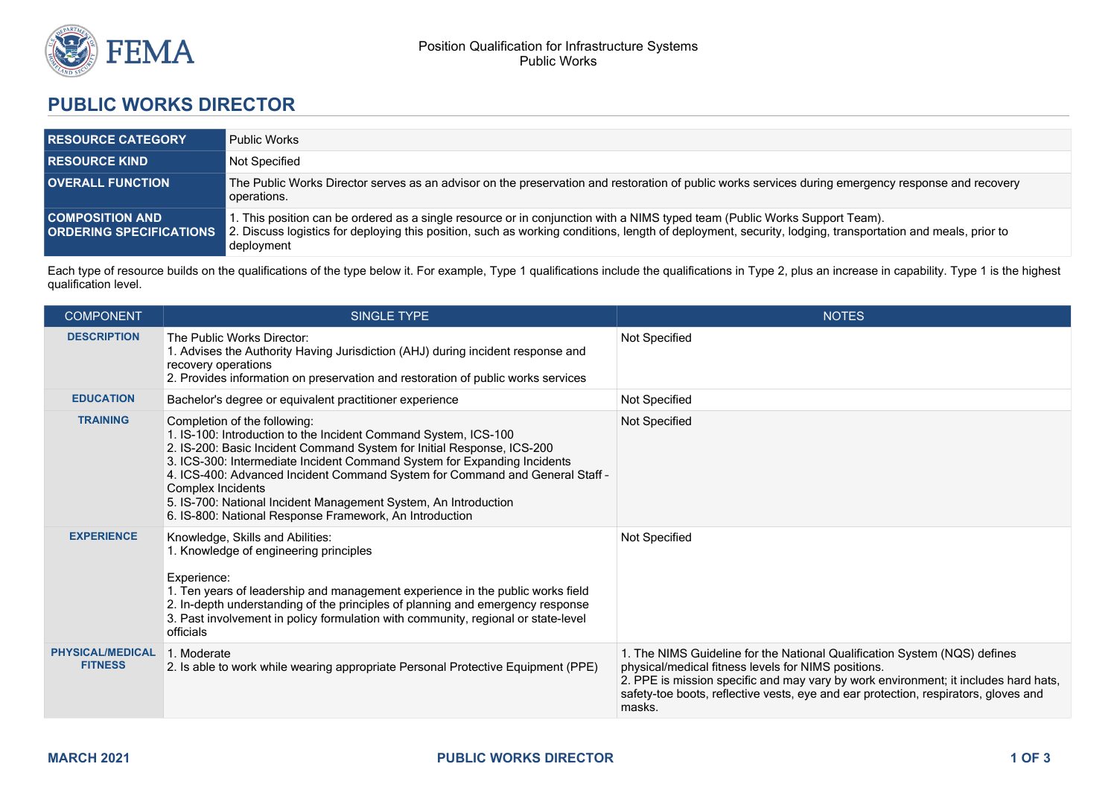

## **PUBLIC WORKS DIRECTOR**

| <b>RESOURCE CATEGORY</b> | <b>Public Works</b>                                                                                                                                                                                                                                                                                                                  |
|--------------------------|--------------------------------------------------------------------------------------------------------------------------------------------------------------------------------------------------------------------------------------------------------------------------------------------------------------------------------------|
| <b>RESOURCE KIND</b>     | Not Specified                                                                                                                                                                                                                                                                                                                        |
| <b>OVERALL FUNCTION</b>  | The Public Works Director serves as an advisor on the preservation and restoration of public works services during emergency response and recovery<br>operations.                                                                                                                                                                    |
| <b>COMPOSITION AND .</b> | 1. This position can be ordered as a single resource or in conjunction with a NIMS typed team (Public Works Support Team).<br><b>ORDERING SPECIFICATIONS</b> 2. Discuss logistics for deploying this position, such as working conditions, length of deployment, security, lodging, transportation and meals, prior to<br>deployment |

Each type of resource builds on the qualifications of the type below it. For example, Type 1 qualifications include the qualifications in Type 2, plus an increase in capability. Type 1 is the highest qualification level.

| <b>COMPONENT</b>                          | <b>SINGLE TYPE</b>                                                                                                                                                                                                                                                                                                                                                                                                                                                                       | <b>NOTES</b>                                                                                                                                                                                                                                                                                                             |
|-------------------------------------------|------------------------------------------------------------------------------------------------------------------------------------------------------------------------------------------------------------------------------------------------------------------------------------------------------------------------------------------------------------------------------------------------------------------------------------------------------------------------------------------|--------------------------------------------------------------------------------------------------------------------------------------------------------------------------------------------------------------------------------------------------------------------------------------------------------------------------|
| <b>DESCRIPTION</b>                        | The Public Works Director:<br>1. Advises the Authority Having Jurisdiction (AHJ) during incident response and<br>recovery operations<br>2. Provides information on preservation and restoration of public works services                                                                                                                                                                                                                                                                 | Not Specified                                                                                                                                                                                                                                                                                                            |
| <b>EDUCATION</b>                          | Bachelor's degree or equivalent practitioner experience                                                                                                                                                                                                                                                                                                                                                                                                                                  | Not Specified                                                                                                                                                                                                                                                                                                            |
| <b>TRAINING</b>                           | Completion of the following:<br>1. IS-100: Introduction to the Incident Command System, ICS-100<br>2. IS-200: Basic Incident Command System for Initial Response, ICS-200<br>3. ICS-300: Intermediate Incident Command System for Expanding Incidents<br>4. ICS-400: Advanced Incident Command System for Command and General Staff -<br>Complex Incidents<br>5. IS-700: National Incident Management System, An Introduction<br>6. IS-800: National Response Framework, An Introduction | Not Specified                                                                                                                                                                                                                                                                                                            |
| <b>EXPERIENCE</b>                         | Knowledge, Skills and Abilities:<br>1. Knowledge of engineering principles<br>Experience:<br>1. Ten years of leadership and management experience in the public works field<br>2. In-depth understanding of the principles of planning and emergency response<br>3. Past involvement in policy formulation with community, regional or state-level<br>officials                                                                                                                          | Not Specified                                                                                                                                                                                                                                                                                                            |
| <b>PHYSICAL/MEDICAL</b><br><b>FITNESS</b> | 1. Moderate<br>2. Is able to work while wearing appropriate Personal Protective Equipment (PPE)                                                                                                                                                                                                                                                                                                                                                                                          | 1. The NIMS Guideline for the National Qualification System (NQS) defines<br>physical/medical fitness levels for NIMS positions.<br>2. PPE is mission specific and may vary by work environment; it includes hard hats,<br>safety-toe boots, reflective vests, eye and ear protection, respirators, gloves and<br>masks. |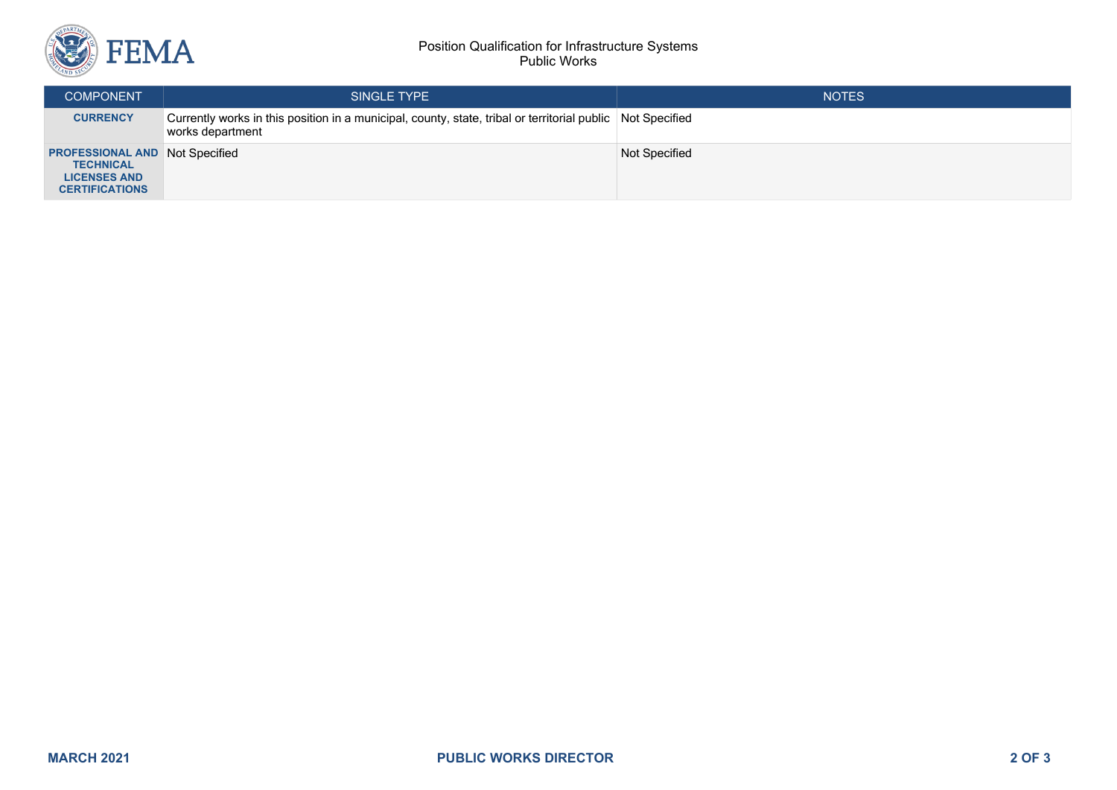

## Position Qualification for Infrastructure Systems Public Works

| <b>COMPONENT</b>                                                                                          | SINGLE TYPE                                                                                                                    | <b>NOTES</b>  |
|-----------------------------------------------------------------------------------------------------------|--------------------------------------------------------------------------------------------------------------------------------|---------------|
| <b>CURRENCY</b>                                                                                           | Currently works in this position in a municipal, county, state, tribal or territorial public Not Specified<br>works department |               |
| <b>PROFESSIONAL AND Not Specified</b><br><b>TECHNICAL</b><br><b>LICENSES AND</b><br><b>CERTIFICATIONS</b> |                                                                                                                                | Not Specified |